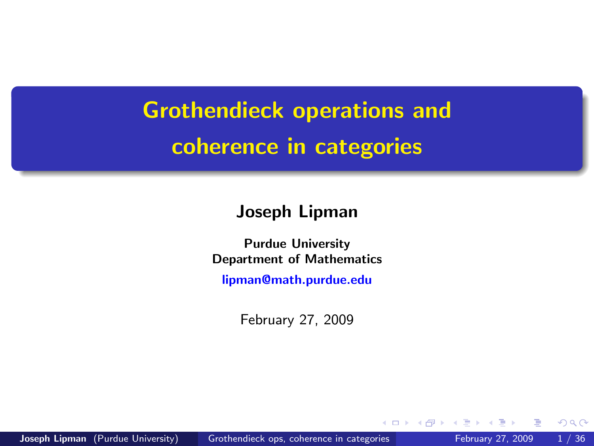Grothendieck operations and coherence in categories

#### Joseph Lipman

Purdue University Department of Mathematics

[lipman@math.purdue.edu](mailto:lipman@math.purdue.edu)

February 27, 2009

<span id="page-0-0"></span> $\Omega$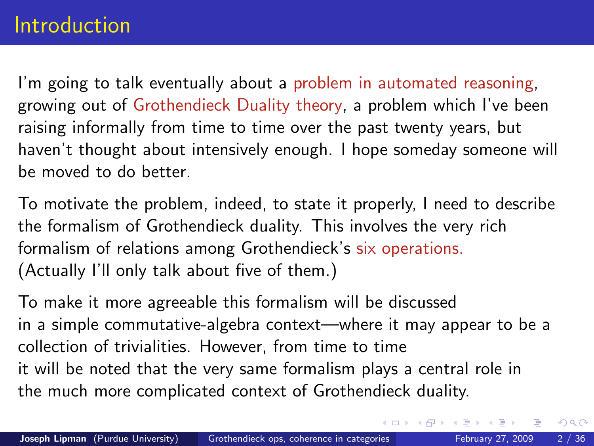### Introduction

I'm going to talk eventually about a problem in automated reasoning, growing out of Grothendieck Duality theory, a problem which I've been raising informally from time to time over the past twenty years, but haven't thought about intensively enough. I hope someday someone will be moved to do better.

To motivate the problem, indeed, to state it properly, I need to describe the formalism of Grothendieck duality. This involves the very rich formalism of relations among Grothendieck's six operations. (Actually I'll only talk about five of them.)

To make it more agreeable this formalism will be discussed in a simple commutative-algebra context—where it may appear to be a collection of trivialities. However, from time to time it will be noted that the very same formalism plays a central role in the much more complicated context of Grothendieck duality.

 $QQ$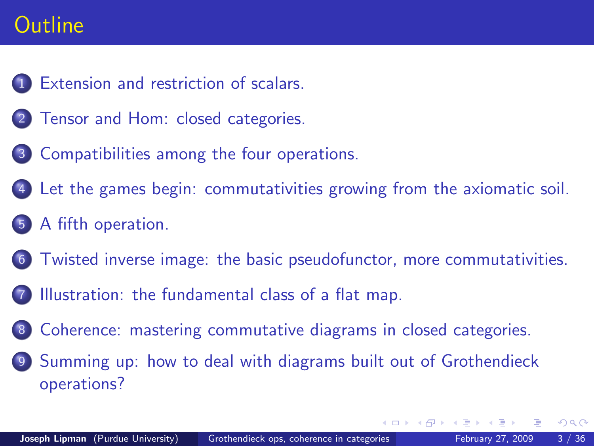## **Outline**

- [Extension and restriction of scalars.](#page-3-0)
- 2 [Tensor and Hom: closed categories.](#page-6-0)
- 3 [Compatibilities among the four operations.](#page-11-0)
- [Let the games begin: commutativities growing from the axiomatic soil.](#page-15-0)
- [A fifth operation.](#page-17-0)
- **F** [Twisted inverse image: the basic pseudofunctor, more commutativities.](#page-19-0)
- [Illustration: the fundamental class of a flat map.](#page-22-0)
- **[Coherence: mastering commutative diagrams in closed categories.](#page-30-0)**
- [Summing up: how to deal with diagrams built out of Grothendieck](#page-33-0) [operations?](#page-33-0)

<span id="page-2-0"></span> $QQQ$ 

正々 メラメ

4 D F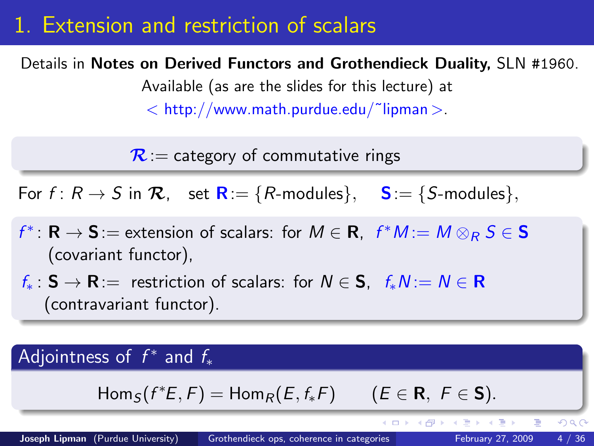### 1. Extension and restriction of scalars

#### Details in Notes on Derived Functors and Grothendieck Duality, SLN #1960.

Available (as are the slides for this lecture) at

 $<$  http://www.math.purdue.edu/~lipman  $>$ .

 $\mathcal{R}$  = category of commutative rings

For  $f: R \to S$  in  $\mathcal{R}$ , set  $\mathbf{R} := \{R\text{-modules}\}\$ ,  $\mathbf{S} := \{S\text{-modules}\}\$ ,

 $f^* \colon \mathbf{R} \to \mathbf{S}$  := extension of scalars: for  $M \in \mathbf{R}$ ,  $f^*M := M \otimes_R S \in \mathbf{S}$ (covariant functor),

 $f_* : S \to \mathbf{R} =$  restriction of scalars: for  $N \in S$ ,  $f_* N := N \in \mathbf{R}$ (contravariant functor).

### Adjointness of  $f^*$  and  $f_*$

$$
Hom_S(f^*E, F) = Hom_R(E, f_*F) \qquad (E \in \mathbf{R}, F \in \mathbf{S}).
$$

<span id="page-3-0"></span> $QQ$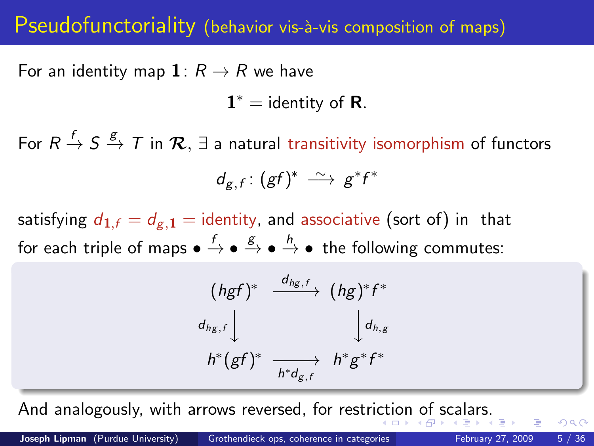### Pseudofunctoriality (behavior vis-à-vis composition of maps)

For an identity map  $\mathbf{1}: R \rightarrow R$  we have

 $1^* =$  identity of **R**.

For  $R\stackrel{f}{\to}S\stackrel{g}{\to}T$  in  $\mathcal{R},\exists$  a natural transitivity isomorphism of functors  $d_{g,f}: (gf)^* \longrightarrow g^*f^*$ 

satisfying  $d_{1,f} = d_{g,1}$  = identity, and associative (sort of) in that for each triple of maps  $\bullet \xrightarrow{f} \bullet \xrightarrow{g} \bullet \xrightarrow{h} \bullet$  the following commutes:

$$
(hgf)^* \xrightarrow{d_{hg,f}} (hg)^*f^*
$$
  

$$
d_{hg,f} \downarrow \qquad \qquad \downarrow d_{h,g}
$$
  

$$
h^*(gf)^* \xrightarrow[h^*d_{g,f} \qquad h^*g^*f^*
$$

And analogously, with arrows reversed, for restri[cti](#page-3-0)[on](#page-5-0) [of](#page-4-0) [s](#page-5-0)[ca](#page-2-0)[l](#page-3-0)[a](#page-5-0)[rs](#page-6-0)[.](#page-2-0)

<span id="page-4-0"></span> $200$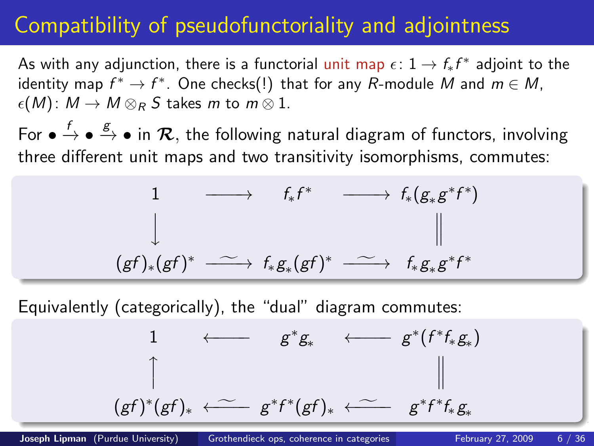# Compatibility of pseudofunctoriality and adjointness

As with any adjunction, there is a functorial <mark>unit map  $\epsilon\colon 1\to f_*f^*$  adjoint to t</mark>he identity map  $f^*\to f^*.$  One checks(!) that for any  $R$ -module  $M$  and  $m\in M,$  $\epsilon(M)$ :  $M \to M \otimes_R S$  takes m to  $m \otimes 1$ .

For  $\bullet \stackrel{f}{\to} \bullet \stackrel{g}{\to} \bullet$  in  ${\cal R},$  the following natural diagram of functors, involving three different unit maps and two transitivity isomorphisms, commutes:

1 −−−−→ f∗f <sup>∗</sup> −−−−→ f∗(g<sup>∗</sup> g ∗ f ∗ ) y (gf )∗(gf ) <sup>∗</sup> −−−−→<sup>f</sup> <sup>f</sup><sup>∗</sup> <sup>g</sup><sup>∗</sup> (gf ) <sup>∗</sup> −−−−→<sup>f</sup> <sup>f</sup><sup>∗</sup> <sup>g</sup><sup>∗</sup> <sup>g</sup> ∗ f ∗

Equivalently (categorically), the "dual" diagram commutes:

<span id="page-5-0"></span>
$$
\begin{array}{ccccccc}\n1 & \longleftarrow & g^*g_* & \longleftarrow & g^*(f^*f_*g_*) \\
\uparrow & & & & \parallel & & & \parallel \\
(gf)^*(gf)_* & \longleftarrow & g^*f^*(gf)_* & \longleftarrow & g^*f^*f_*g_*\n\end{array}
$$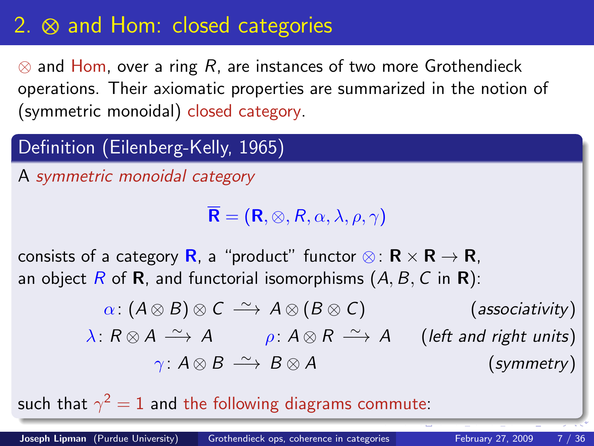# 2. ⊗ and Hom: closed categories

 $\otimes$  and Hom, over a ring R, are instances of two more Grothendieck operations. Their axiomatic properties are summarized in the notion of (symmetric monoidal) closed category.

### Definition (Eilenberg-Kelly, 1965)

A symmetric monoidal category

<span id="page-6-0"></span> $\overline{\mathbf{R}}$  =  $(\mathbf{R}, \otimes, R, \alpha, \lambda, \rho, \gamma)$ 

consists of a category **R**, a "product" functor ⊗:  $\mathbf{R} \times \mathbf{R} \to \mathbf{R}$ , an object  $R$  of  $R$ , and functorial isomorphisms  $(A, B, C \text{ in } R)$ :

$$
\alpha: (A \otimes B) \otimes C \xrightarrow{\sim} A \otimes (B \otimes C) \qquad \text{(associativity)}
$$
\n
$$
\lambda: R \otimes A \xrightarrow{\sim} A \qquad \rho: A \otimes R \xrightarrow{\sim} A \qquad \text{(left and right units)}
$$
\n
$$
\gamma: A \otimes B \xrightarrow{\sim} B \otimes A \qquad \text{(symmetry)}
$$

such that  $\gamma^2=1$  and the following diagrams commute: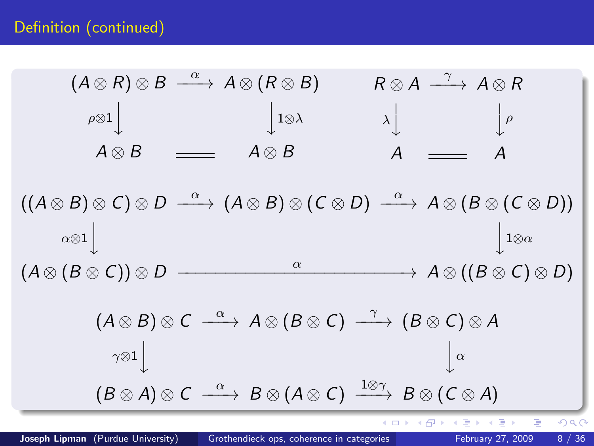<sup>α</sup> −−−→ A ⊗ (R ⊗ B) γ (A ⊗ R) ⊗ B R ⊗ A −−−→ A ⊗ R ρ⊗1 1⊗λ ρ λ y y y y A ⊗ B A ⊗ B A A <sup>α</sup> −−−→ (A ⊗ B) ⊗ (C ⊗ D) <sup>α</sup> −−−→ A ⊗ (B ⊗ (C ⊗ D)) ((A ⊗ B) ⊗ C) ⊗ D α⊗1 1⊗α y y <sup>α</sup> −−−−−−−−−−−−−−−−−−−−−−−→ A ⊗ ((B ⊗ C) ⊗ D) (A ⊗ (B ⊗ C)) ⊗ D <sup>α</sup> −−−→ A ⊗ (B ⊗ C) γ (A ⊗ B) ⊗ C −−−→ (B ⊗ C) ⊗ A γ⊗1 yα y 1⊗γ <sup>α</sup> −−−→ B ⊗ (A ⊗ C) (B ⊗ A) ⊗ C −−−→ B ⊗ (C ⊗ A) 

∍ ×  $\mathcal{A}$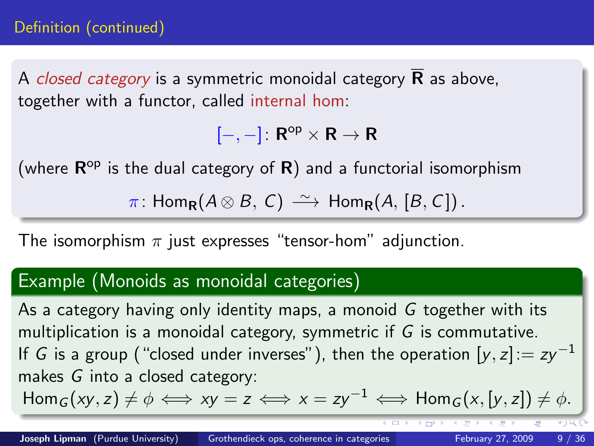A *closed category* is a symmetric monoidal category  $\bf{R}$  as above, together with a functor, called internal hom:

 $[-,-]: \mathsf{R}^{\mathrm{op}} \times \mathsf{R} \to \mathsf{R}$ 

(where  $\mathsf{R}^\mathsf{op}$  is the dual category of  $\mathsf{R})$  and a functorial isomorphism

 $\pi$ : Hom<sub>R</sub>( $A \otimes B$ , C)  $\longrightarrow$  Hom<sub>R</sub>( $A$ , [ $B$ , C]).

The isomorphism  $\pi$  just expresses "tensor-hom" adjunction.

#### Example (Monoids as monoidal categories)

As a category having only identity maps, a monoid  $G$  together with its multiplication is a monoidal category, symmetric if G is commutative. If G is a group ("closed under inverses"), then the operation  $[y, z] := zy^{-1}$ makes G into a closed category:

 $\text{Hom}_G(xy, z) \neq \emptyset \iff xy = z \iff x = zy^{-1} \iff \text{Hom}_G(x, [y, z]) \neq \emptyset.$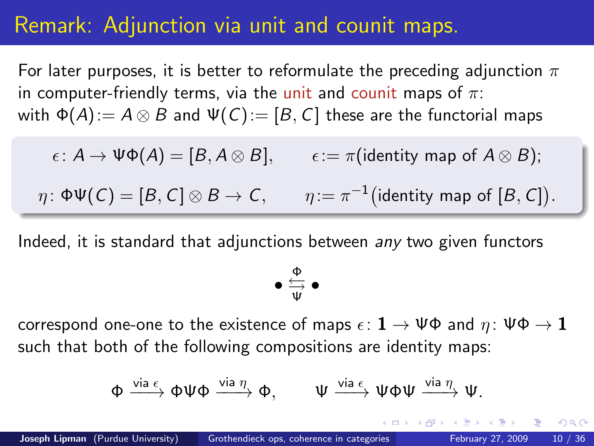### Remark: Adjunction via unit and counit maps.

For later purposes, it is better to reformulate the preceding adjunction  $\pi$ in computer-friendly terms, via the unit and counit maps of  $\pi$ : with  $\Phi(A) := A \otimes B$  and  $\Psi(C) := [B, C]$  these are the functorial maps

 $\epsilon: A \to \Psi \Phi(A) = [B, A \otimes B], \qquad \epsilon := \pi(\text{identity map of } A \otimes B);$ 

 $\eta\colon \Phi \Psi(\mathsf{C}) = [B,\mathsf{C}]\otimes B \to \mathsf{C}, \qquad \eta\colon = \pi^{-1}\big(\text{identity map of }[B,\mathsf{C}]\big).$ 

Indeed, it is standard that adjunctions between any two given functors

 $\bullet \overset{\Phi}{\Longrightarrow}$ Ψ •

correspond one-one to the existence of maps  $\epsilon: \mathbf{1} \to \Psi \Phi$  and  $\eta: \Psi \Phi \to \mathbf{1}$ such that both of the following compositions are identity maps:

$$
\Phi \xrightarrow{\text{via } \epsilon} \Phi \Psi \Phi \xrightarrow{\text{via } \eta} \Phi, \qquad \Psi \xrightarrow{\text{via } \epsilon} \Psi \Phi \Psi \xrightarrow{\text{via } \eta} \Psi.
$$

 $200$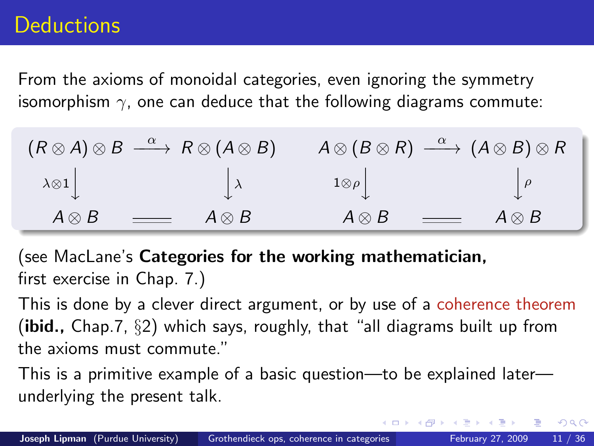## **Deductions**

From the axioms of monoidal categories, even ignoring the symmetry isomorphism  $\gamma$ , one can deduce that the following diagrams commute:

|               | $(R \otimes A) \otimes B \stackrel{\alpha}{\longrightarrow} R \otimes (A \otimes B)$ |                | $A \otimes (B \otimes R) \stackrel{\alpha}{\longrightarrow} (A \otimes B) \otimes R$ |
|---------------|--------------------------------------------------------------------------------------|----------------|--------------------------------------------------------------------------------------|
|               | $\lambda \otimes 1$                                                                  | $1\otimes\rho$ |                                                                                      |
| $A \otimes B$ | $A \otimes B$<br>$\frac{1}{1}$                                                       | $A \otimes B$  | $\qquad \qquad =$<br>$A \otimes B$                                                   |

(see MacLane's Categories for the working mathematician, first exercise in Chap. 7.)

This is done by a clever direct argument, or by use of a coherence theorem (ibid.,  $Chap.7, §2$ ) which says, roughly, that "all diagrams built up from the axioms must commute."

<span id="page-10-0"></span> $\Omega$ 

This is a primitive example of a basic question—to be explained later underlying the present talk.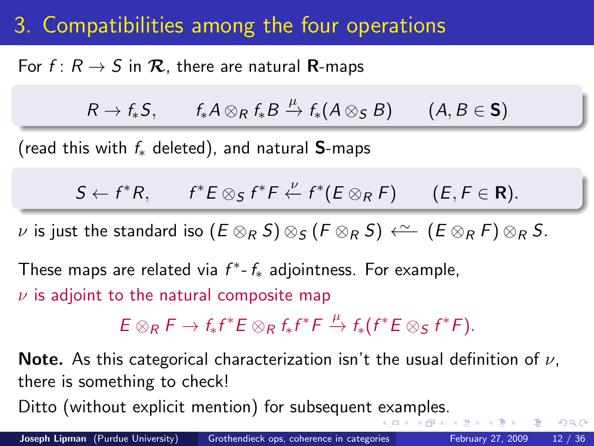# 3. Compatibilities among the four operations

For  $f: R \to S$  in  $\mathcal{R}$ , there are natural R-maps

$$
R \to f_*S, \qquad f_*A \otimes_R f_*B \xrightarrow{\mu} f_*(A \otimes_S B) \qquad (A, B \in \mathbf{S})
$$

(read this with  $f_*$  deleted), and natural S-maps

$$
S \leftarrow f^*R, \qquad f^*E \otimes_S f^*F \xleftarrow{\nu} f^*(E \otimes_R F) \qquad (E, F \in \mathbf{R}).
$$

*ν* is just the standard iso  $(E \otimes_R S) \otimes_S (F \otimes_R S) \stackrel{\sim}{\leftarrow} (E \otimes_R F) \otimes_R S$ .

These maps are related via  $f^*$ - $f_*$  adjointness. For example,

 $\nu$  is adjoint to the natural composite map

 $E \otimes_R F \to f_* f^* E \otimes_R f_* f^* F \stackrel{\mu}{\to} f_* (f^* E \otimes_S f^* F).$ 

**Note.** As this categorical characterization isn't the usual definition of  $\nu$ , there is something to check!

Ditto (without explicit mention) for subsequent [ex](#page-10-0)[am](#page-12-0)[p](#page-10-0)[le](#page-11-0)[s.](#page-12-0)

<span id="page-11-0"></span> $QQ$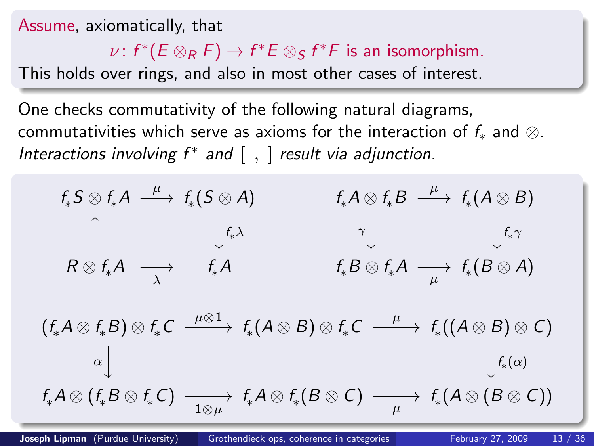Assume, axiomatically, that

 $\nu\colon f^*(E\otimes_R F)\to f^*E\otimes_S f^*F$  is an isomorphism.

This holds over rings, and also in most other cases of interest.

One checks commutativity of the following natural diagrams, commutativities which serve as axioms for the interaction of  $f_*$  and  $\otimes$ . Interactions involving  $f^*$  and  $[ , ]$  result via adjunction.

$$
f_*S \otimes f_*A \xrightarrow{\mu} f_*(S \otimes A) \qquad f_*A \otimes f_*B \xrightarrow{\mu} f_*(A \otimes B)
$$
  
\n
$$
\uparrow \qquad \qquad \downarrow f_*\lambda \qquad \qquad \uparrow \qquad \qquad \downarrow f_*\gamma
$$
  
\n
$$
R \otimes f_*A \longrightarrow f_*A \qquad f_*B \otimes f_*A \longrightarrow f_*(B \otimes A)
$$
  
\n
$$
f_*(A \otimes B) \otimes f_*C \xrightarrow{\mu \otimes 1} f_*(A \otimes B) \otimes f_*(A \otimes B) \otimes f_*(A \otimes B) \otimes f_*(A \otimes B) \otimes f_*(A \otimes B)
$$

<span id="page-12-0"></span>
$$
(f_*A \otimes f_*B) \otimes f_*C \xrightarrow{\mu \otimes \Delta} f_*(A \otimes B) \otimes f_*C \xrightarrow{\mu} f_*((A \otimes B) \otimes C)
$$
  

$$
\alpha \downarrow \qquad \qquad \downarrow f_*(\alpha)
$$
  

$$
f_*A \otimes (f_*B \otimes f_*C) \xrightarrow{\phantom{A} \uparrow \downarrow f_*A} f_*A \otimes f_*(B \otimes C) \xrightarrow{\phantom{A} \downarrow f_*A} f_*(A \otimes (B \otimes C))
$$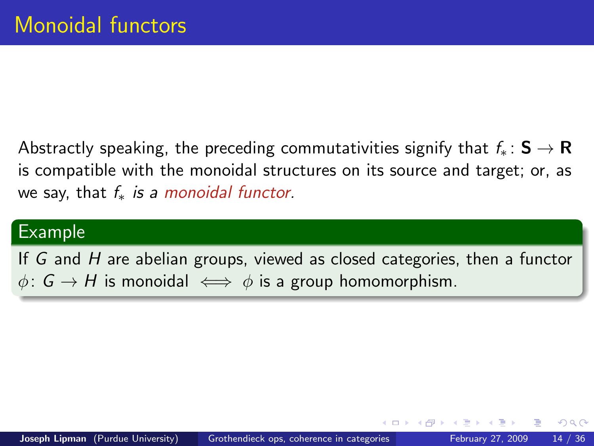Abstractly speaking, the preceding commutativities signify that  $f_* : S \to \mathbf{R}$ is compatible with the monoidal structures on its source and target; or, as we say, that  $f_*$  is a monoidal functor.

### Example

If G and H are abelian groups, viewed as closed categories, then a functor  $\phi: G \to H$  is monoidal  $\iff \phi$  is a group homomorphism.

 $\Omega$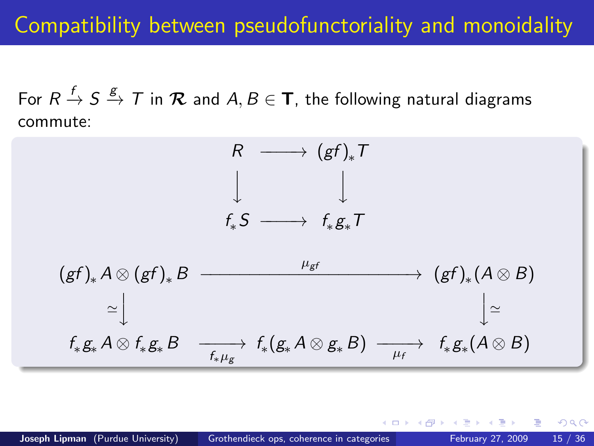## Compatibility between pseudofunctoriality and monoidality

For  $R\stackrel{f}{\rightarrow}S\stackrel{g}{\rightarrow}7$  in  ${\cal R}$  and  $A,B\in {\sf T}$ , the following natural diagrams commute:



 $QQ$ 

K @ ▶ K 를 ▶ K 를 ▶ ...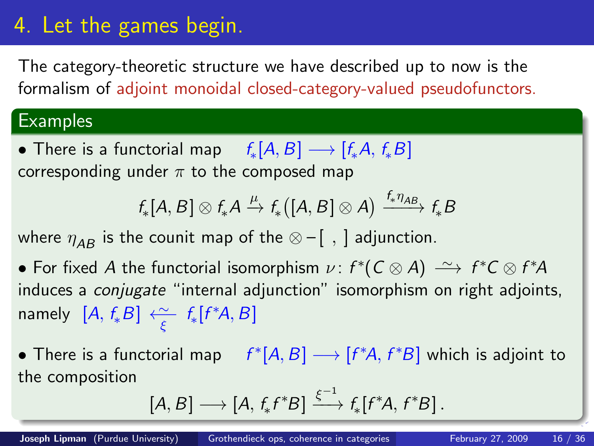# 4. Let the games begin.

The category-theoretic structure we have described up to now is the formalism of adjoint monoidal closed-category-valued pseudofunctors.

### **Examples**

• There is a functorial map  $f_*[A, B] \longrightarrow [f_*A, f_*B]$ corresponding under  $\pi$  to the composed map

$$
f_*[A, B] \otimes f_*A \xrightarrow{\mu} f_*\bigl([A, B] \otimes A\bigr) \xrightarrow{f_* \eta_{AB}} f_*B
$$

where  $\eta_{AB}$  is the counit map of the  $\otimes -$ [, ] adjunction.

- For fixed A the functorial isomorphism  $\nu$ :  $f^*(C \otimes A) \stackrel{\sim}{\longrightarrow} f^*C \otimes f^*A$ induces a conjugate "internal adjunction" isomorphism on right adjoints, namely  $[A, f_*B] \xleftarrow{\sim} f_*[f^*A, B]$
- There is a functorial map  $f^*[A, B] \longrightarrow [f^*A, f^*B]$  which is adjoint to the composition

<span id="page-15-0"></span>
$$
[A, B] \longrightarrow [A, f_* f^* B] \xrightarrow{\xi^{-1}} f_* [f^* A, f^* B].
$$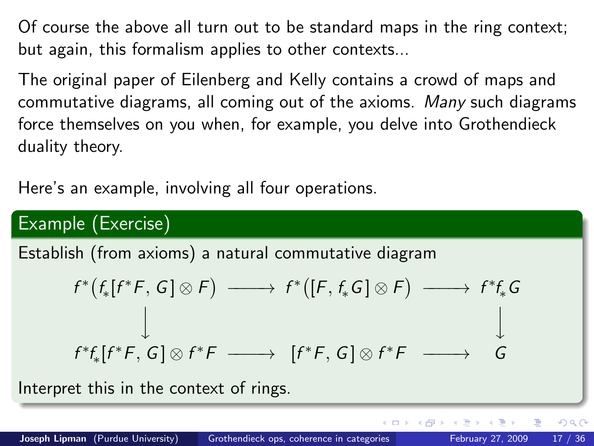Of course the above all turn out to be standard maps in the ring context; but again, this formalism applies to other contexts...

The original paper of Eilenberg and Kelly contains a crowd of maps and commutative diagrams, all coming out of the axioms. Many such diagrams force themselves on you when, for example, you delve into Grothendieck duality theory.

Here's an example, involving all four operations.

### Example (Exercise)

Establish (from axioms) a natural commutative diagram

$$
f^*[f_*[f^*F, G] \otimes F) \longrightarrow f^*([F, f_*G] \otimes F) \longrightarrow f^*f_*G
$$
  

$$
\downarrow \qquad \qquad \downarrow
$$
  

$$
f^*f_*[f^*F, G] \otimes f^*F \longrightarrow [f^*F, G] \otimes f^*F \longrightarrow G
$$

4 D F

Interpret this in the context of rings.

 $\Omega$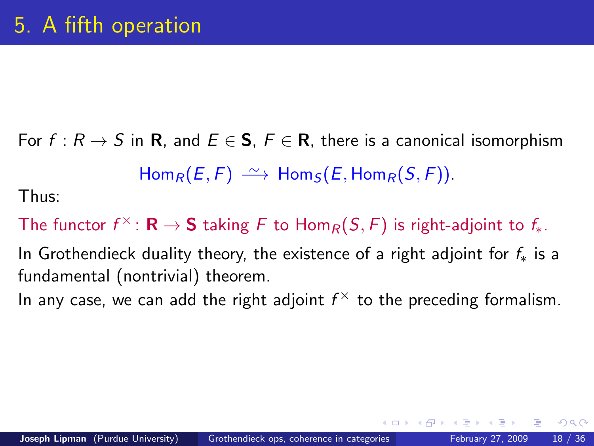For  $f: R \to S$  in R, and  $E \in S$ ,  $F \in R$ , there is a canonical isomorphism  $Hom_R(E, F) \xrightarrow{\sim} Hom_S(E, Hom_R(S, F)).$ Thus:

The functor  $f^\times\colon \mathbf{R}\to \mathbf{S}$  taking  $F$  to  $\mathsf{Hom}_R(\mathcal{S},F)$  is right-adjoint to  $f_\ast.$ 

In Grothendieck duality theory, the existence of a right adjoint for  $f_*$  is a fundamental (nontrivial) theorem.

In any case, we can add the right adjoint  $f^\times$  to the preceding formalism.

<span id="page-17-0"></span> $QQ$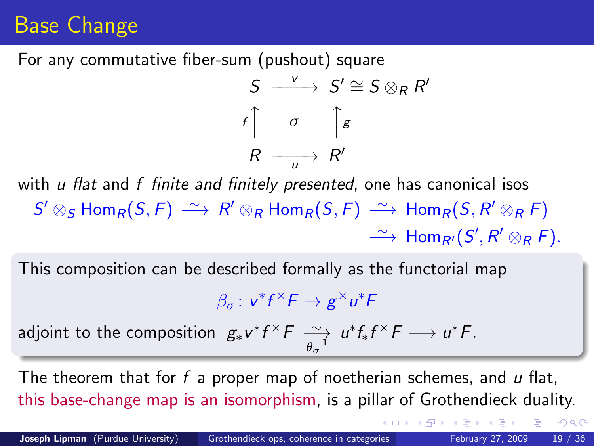# Base Change

For any commutative fiber-sum (pushout) square

$$
S \xrightarrow{v} S' \cong S \otimes_R R'
$$
  

$$
f \uparrow \sigma \uparrow_{g} g
$$
  

$$
R \xrightarrow{u} R'
$$

with u flat and f finite and finitely presented, one has canonical isos  $\mathsf{S}'\otimes_\mathsf{S}\mathsf{Hom}_\mathsf{R}(\mathsf{S},\mathsf{F})\ \stackrel{\sim}{\longrightarrow}\ \mathsf{R}'\otimes_\mathsf{R}\mathsf{Hom}_\mathsf{R}(\mathsf{S},\mathsf{F})\ \stackrel{\sim}{\longrightarrow}\ \mathsf{Hom}_\mathsf{R}(\mathsf{S},\mathsf{R}'\otimes_\mathsf{R}\mathsf{F})$  $\longrightarrow$  Hom<sub>R'</sub> $(S', R' \otimes_R F)$ .

This composition can be described formally as the functorial map

$$
\beta_{\sigma}\colon v^*f^\times F\to g^\times u^*F
$$

adjoint to the composition  $g_* v^* f^\times F \xrightarrow[\theta_\sigma^{-1}]$  $u^*f_*f^{\times}F \longrightarrow u^*F.$ 

The theorem that for f a proper map of noetherian schemes, and  $u$  flat, this base-change map is an isomorphism, is a pillar of Grothendieck duality.

 $\Omega$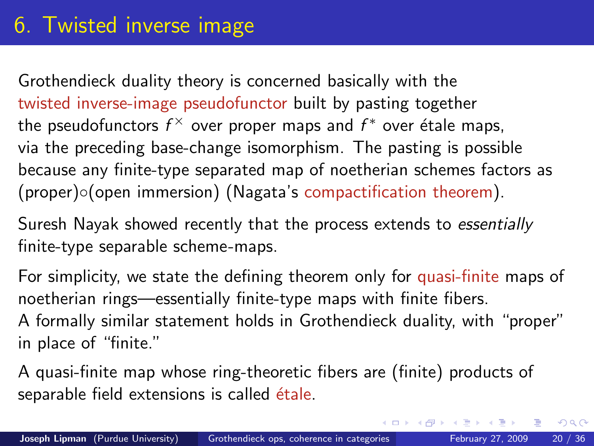## 6. Twisted inverse image

Grothendieck duality theory is concerned basically with the twisted inverse-image pseudofunctor built by pasting together the pseudofunctors  $f^\times$  over proper maps and  $f^*$  over étale maps, via the preceding base-change isomorphism. The pasting is possible because any finite-type separated map of noetherian schemes factors as (proper)◦(open immersion) (Nagata's compactification theorem).

Suresh Nayak showed recently that the process extends to essentially finite-type separable scheme-maps.

For simplicity, we state the defining theorem only for quasi-finite maps of noetherian rings—essentially finite-type maps with finite fibers. A formally similar statement holds in Grothendieck duality, with "proper" in place of "finite."

A quasi-finite map whose ring-theoretic fibers are (finite) products of separable field extensions is called étale.

<span id="page-19-0"></span> $\Omega$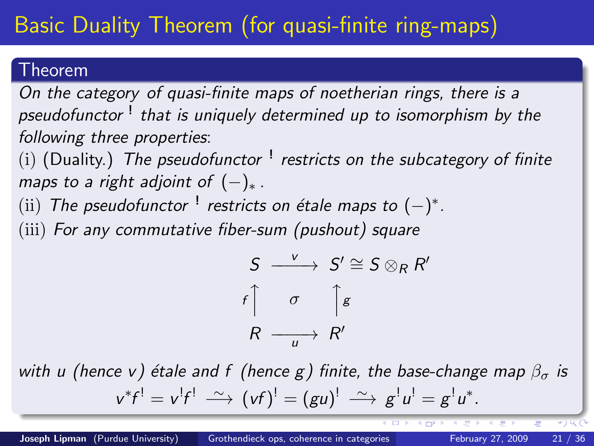# Basic Duality Theorem (for quasi-finite ring-maps)

### Theorem

On the category of quasi-finite maps of noetherian rings, there is a pseudofunctor <sup>!</sup> that is uniquely determined up to isomorphism by the following three properties:

(i) (Duality.) The pseudofunctor  $^!$  restricts on the subcategory of finite maps to a right adjoint of  $(-)_*.$ 

(ii) The pseudofunctor  $^!$  restricts on étale maps to  $(-)^*$ .

(iii) For any commutative fiber-sum (pushout) square

$$
S \xrightarrow{v} S' \cong S \otimes_R R'
$$
  

$$
f \uparrow \sigma \uparrow_{g} g
$$
  

$$
R \xrightarrow{u} R'
$$

with u (hence v) étale and f (hence g) finite, the base-change map  $\beta_{\sigma}$  is  $v^*f^! = v^!f^! \stackrel{\sim}{\longrightarrow} (vf)^! = (gu)^! \stackrel{\sim}{\longrightarrow} g^!u^! = g^!u^*.$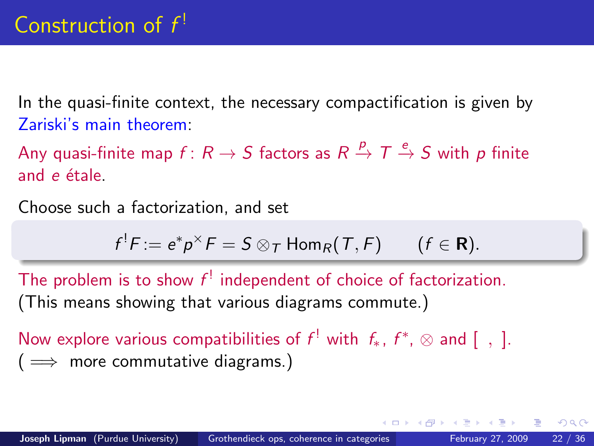In the quasi-finite context, the necessary compactification is given by Zariski's main theorem:

Any quasi-finite map  $f\colon R\to S$  factors as  $R\stackrel{p}{\to} T\stackrel{e}{\to} S$  with  $p$  finite and  $e$  étale.

Choose such a factorization, and set

$$
f^!F := e^*p^{\times}F = S \otimes_T \text{Hom}_R(T, F) \qquad (f \in \mathbf{R}).
$$

The problem is to show  $f^!$  independent of choice of factorization. (This means showing that various diagrams commute.)

Now explore various compatibilities of  $f^!$  with  $f_*$ ,  $f^*, \otimes$  and  $[ , ]$ .  $( \implies$  more commutative diagrams.)

 $200$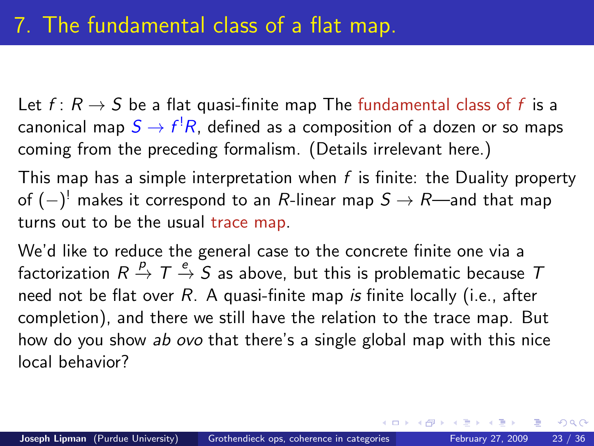Let  $f: R \to S$  be a flat quasi-finite map The fundamental class of f is a canonical map  $S \to f^! R$ , defined as a composition of a dozen or so maps coming from the preceding formalism. (Details irrelevant here.)

This map has a simple interpretation when  $f$  is finite: the Duality property of  $(-)^{\rm !}$  makes it correspond to an  $R$ -linear map  $S\to R$ —and that map turns out to be the usual trace map.

We'd like to reduce the general case to the concrete finite one via a factorization  $R \stackrel{p}{\rightarrow} T \stackrel{e}{\rightarrow} S$  as above, but this is problematic because  $T$ need not be flat over  $R$ . A quasi-finite map is finite locally (i.e., after completion), and there we still have the relation to the trace map. But how do you show ab ovo that there's a single global map with this nice local behavior?

<span id="page-22-0"></span> $QQ$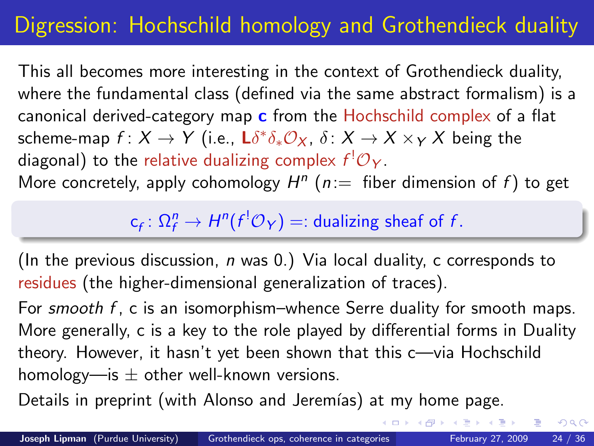# Digression: Hochschild homology and Grothendieck duality

This all becomes more interesting in the context of Grothendieck duality, where the fundamental class (defined via the same abstract formalism) is a canonical derived-category map  $c$  from the Hochschild complex of a flat scheme-map  $f\colon X\to Y$  (i.e.,  $\mathsf{L} \delta^* \delta_* \mathcal{O}_X$ ,  $\delta\colon X\to X\times_Y X$  being the diagonal) to the relative dualizing complex  $f^!{\cal O}_Y.$ 

More concretely, apply cohomology  $H^n$  ( $n ==$  fiber dimension of f) to get

 $\mathsf{c}_f\colon \Omega_f^n \to H^n(f^!\mathcal{O}_Y)=:$  dualizing sheaf of  $f.$ 

(In the previous discussion,  $n$  was 0.) Via local duality, c corresponds to residues (the higher-dimensional generalization of traces).

For smooth f, c is an isomorphism–whence Serre duality for smooth maps. More generally, c is a key to the role played by differential forms in Duality theory. However, it hasn't yet been shown that this c—via Hochschild homology—is  $\pm$  other well-known versions.

Details in preprint (with Alonso and Jeremías) at my home page.

 $QQ$ 

금 > < 금 >

4 母 ト 4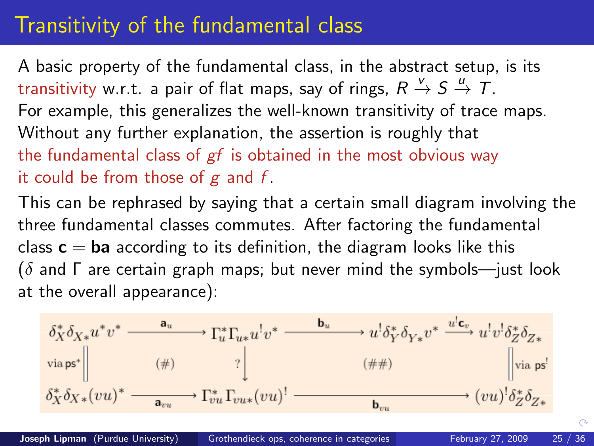## Transitivity of the fundamental class

A basic property of the fundamental class, in the abstract setup, is its transitivity w.r.t. a pair of flat maps, say of rings,  $R\stackrel{v}{\rightarrow}S\stackrel{u}{\rightarrow}T.$ For example, this generalizes the well-known transitivity of trace maps. Without any further explanation, the assertion is roughly that the fundamental class of  $gf$  is obtained in the most obvious way it could be from those of  $g$  and  $f$ .

This can be rephrased by saying that a certain small diagram involving the three fundamental classes commutes. After factoring the fundamental class  $c = ba$  according to its definition, the diagram looks like this  $(\delta$  and  $\Gamma$  are certain graph maps; but never mind the symbols—just look at the overall appearance):



 $\curvearrowright$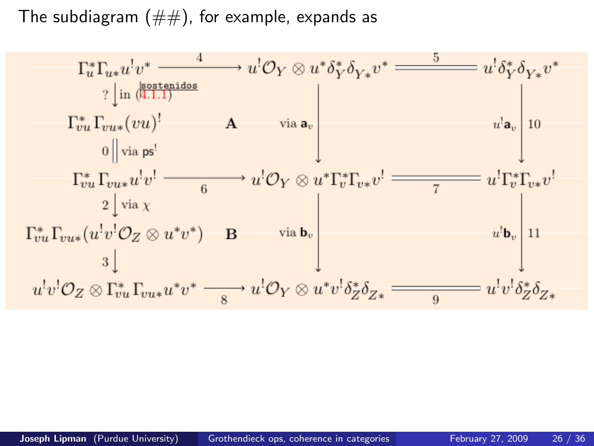The subdiagram  $(\#\#)$ , for example, expands as

$$
\Gamma_{u}^{*}\Gamma_{u*}u^{!}v^{*} \xrightarrow{\qquad 4} u^{!}\mathcal{O}_{Y} \otimes u^{*}\delta_{Y}^{*}\delta_{Y*}v^{*} \xrightarrow{\qquad 5} u^{!}\delta_{Y}^{*}\delta_{Y*}v^{*}
$$
\n
$$
\begin{array}{c}\n? \left| \text{ in } \left( \frac{\text{isostenidos}}{\text{4.1.1}} \right) \right.\n\\
\Gamma_{vu}^{*}\Gamma_{vu*}(vu)^{!} \qquad A \qquad \text{via } \mathbf{a}_{v} \\
0 \left\| \text{via } \mathsf{ps}^{!} \right.\n\end{array}
$$
\n
$$
\begin{array}{c}\n\Gamma_{vu}^{*}\Gamma_{vu*}u^{!}v^{!} \longrightarrow a^{!}\mathcal{O}_{Y} \otimes u^{*}\Gamma_{v}^{*}\Gamma_{v*}v^{!} \longrightarrow a^{!}\Gamma_{v}^{*}\Gamma_{v*}v^{!} \\
2 \left\| \text{via } \chi \right.\n\\
\Gamma_{vu}^{*}\Gamma_{vu*}(u^{!}v^{!}\mathcal{O}_{Z} \otimes u^{*}v^{*}) \qquad B \qquad \text{via } \mathbf{b}_{v} \\
3 \left\| \begin{array}{c}\n u^{!}v^{!}\mathcal{O}_{Z} \otimes u^{*}v^{*} \longrightarrow u^{!}\mathcal{O}_{Y} \otimes u^{*}v^{!}\delta_{Z}^{*}\delta_{Z*} \longrightarrow u^{!}v^{!}\delta_{Z}^{*}\delta_{Z*}\n\end{array}\n\end{array}
$$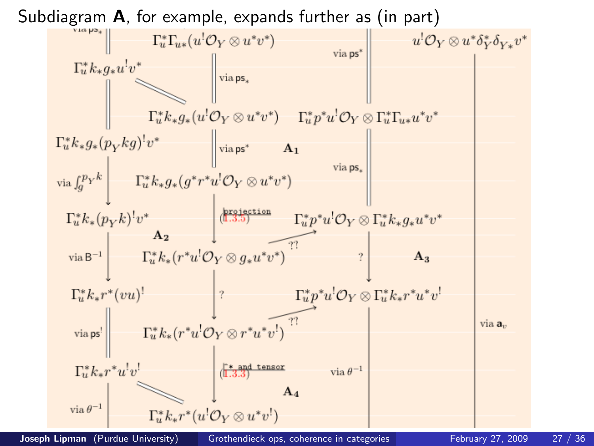

Joseph Lipman (Purdue University) [Grothendieck ops, coherence in categories](#page-0-0) February 27, 2009 27 / 36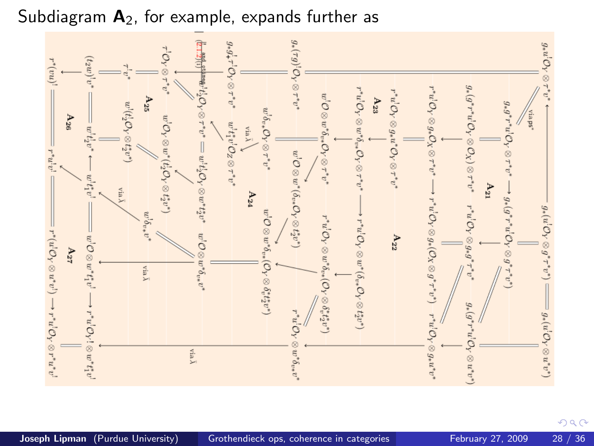#### Subdiagram  $A_2$ , for example, expands further as





 $299$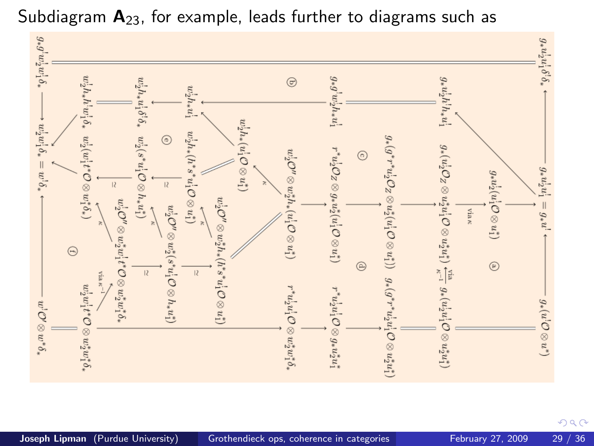

Subdiagram  $A_{23}$ , for example, leads further to diagrams such as

Joseph Lipman (Purdue University) [Grothendieck ops, coherence in categories](#page-0-0) February 27, 2009 29 / 36

 $299$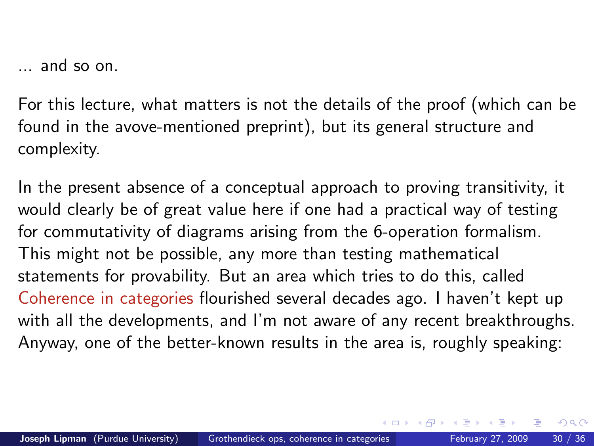... and so on.

For this lecture, what matters is not the details of the proof (which can be found in the avove-mentioned preprint), but its general structure and complexity.

In the present absence of a conceptual approach to proving transitivity, it would clearly be of great value here if one had a practical way of testing for commutativity of diagrams arising from the 6-operation formalism. This might not be possible, any more than testing mathematical statements for provability. But an area which tries to do this, called Coherence in categories flourished several decades ago. I haven't kept up with all the developments, and I'm not aware of any recent breakthroughs. Anyway, one of the better-known results in the area is, roughly speaking:

<span id="page-29-0"></span> $QQ$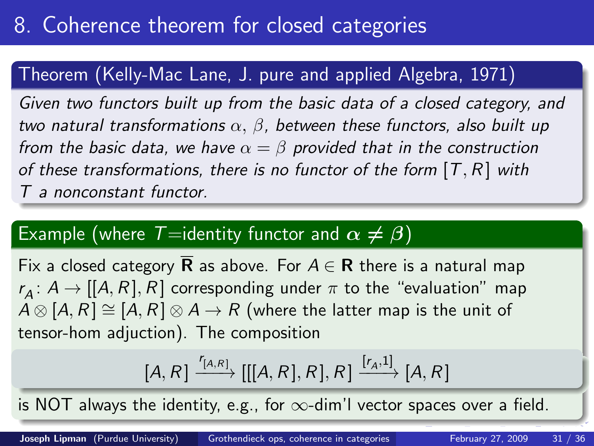### Theorem (Kelly-Mac Lane, J. pure and applied Algebra, 1971)

Given two functors built up from the basic data of a closed category, and two natural transformations  $\alpha$ ,  $\beta$ , between these functors, also built up from the basic data, we have  $\alpha = \beta$  provided that in the construction of these transformations, there is no functor of the form  $[T, R]$  with T a nonconstant functor.

### Example (where  $T=$ identity functor and  $\alpha \neq \beta$ )

Fix a closed category **R** as above. For  $A \in \mathbb{R}$  there is a natural map  $r_{\mathcal{A}}\colon A\to[[A,R],R]$  corresponding under  $\pi$  to the "evaluation" map  $A \otimes [A, R] \cong [A, R] \otimes A \rightarrow R$  (where the latter map is the unit of tensor-hom adjuction). The composition

<span id="page-30-0"></span>
$$
[A, R] \xrightarrow{r_{[A,R]}} [[[A, R], R], R] \xrightarrow{[r_A, 1]} [A, R]
$$

is NOT always the identity, e.g., for  $\infty$ -dim'l vector spaces over a field.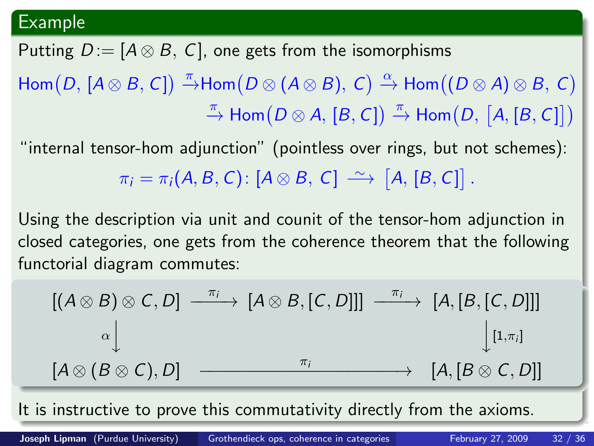#### Example

Putting  $D := [A \otimes B, C]$ , one gets from the isomorphisms  $\mathsf{Hom}(D,\,[A\otimes B,\,\mathsf{C}])\stackrel{\pi}{\to}\mathsf{Hom}(D\otimes (A\otimes B),\,\mathsf{C})\stackrel{\alpha}{\to}\mathsf{Hom}((D\otimes A)\otimes B,\,\mathsf{C})$  $\stackrel{\pi}{\to}$  Hom $(D \otimes A, [B, C]) \stackrel{\pi}{\to}$  Hom $(D, [A, [B, C]])$ 

"internal tensor-hom adjunction" (pointless over rings, but not schemes):  $\pi_i = \pi_i(A, B, C) : [A \otimes B, C] \longrightarrow [A, [B, C]]$ .

Using the description via unit and counit of the tensor-hom adjunction in closed categories, one gets from the coherence theorem that the following functorial diagram commutes:

<span id="page-31-0"></span>
$$
[(A \otimes B) \otimes C, D] \xrightarrow{\pi_i} [A \otimes B, [C, D]]] \xrightarrow{\pi_i} [A, [B, [C, D]]]
$$
\n
$$
\xrightarrow[\alpha] \qquad [1, \pi_i]
$$
\n
$$
[A \otimes (B \otimes C), D] \xrightarrow{\pi_i} [A, [B \otimes C, D]]
$$

It is instructive to prove this commutativity dire[ctl](#page-30-0)[y f](#page-32-0)[r](#page-30-0)[om](#page-31-0) [t](#page-29-0)[h](#page-30-0)[e](#page-32-0) [a](#page-33-0)[x](#page-29-0)[i](#page-30-0)[o](#page-32-0)[m](#page-33-0)[s.](#page-0-0)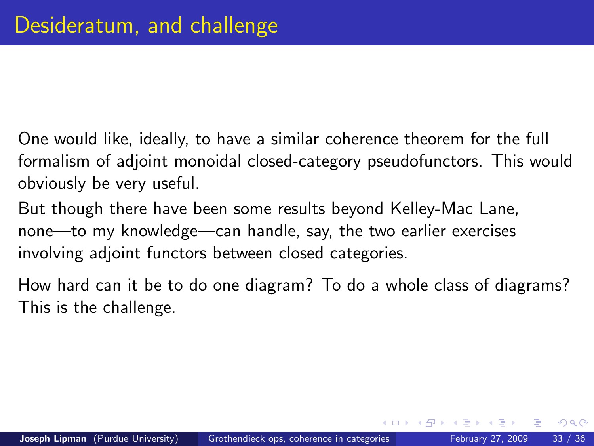- One would like, ideally, to have a similar coherence theorem for the full formalism of adjoint monoidal closed-category pseudofunctors. This would obviously be very useful.
- But though there have been some results beyond Kelley-Mac Lane, none—to my knowledge—can handle, say, the two earlier exercises involving adjoint functors between closed categories.
- How hard can it be to do one diagram? To do a whole class of diagrams? This is the challenge.

<span id="page-32-0"></span> $\Omega$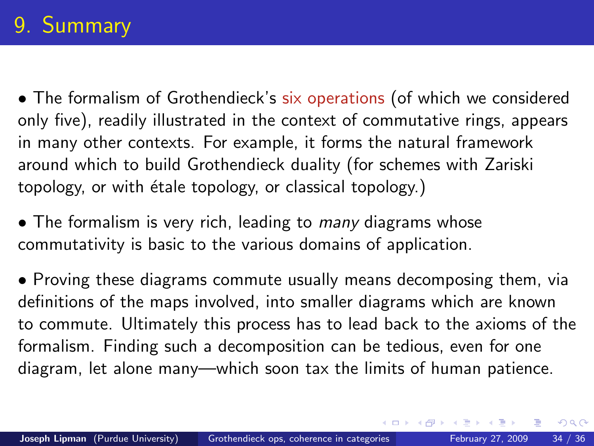# 9. Summary

• The formalism of Grothendieck's six operations (of which we considered only five), readily illustrated in the context of commutative rings, appears in many other contexts. For example, it forms the natural framework around which to build Grothendieck duality (for schemes with Zariski topology, or with étale topology, or classical topology.)

• The formalism is very rich, leading to *many* diagrams whose commutativity is basic to the various domains of application.

• Proving these diagrams commute usually means decomposing them, via definitions of the maps involved, into smaller diagrams which are known to commute. Ultimately this process has to lead back to the axioms of the formalism. Finding such a decomposition can be tedious, even for one diagram, let alone many—which soon tax the limits of human patience.

<span id="page-33-0"></span> $\Omega$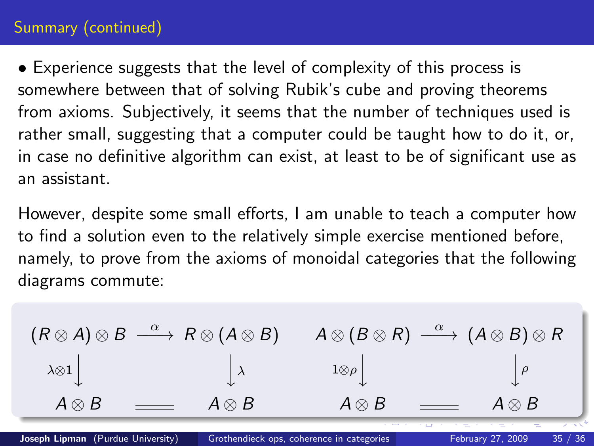### Summary (continued)

• Experience suggests that the level of complexity of this process is somewhere between that of solving Rubik's cube and proving theorems from axioms. Subjectively, it seems that the number of techniques used is rather small, suggesting that a computer could be taught how to do it, or, in case no definitive algorithm can exist, at least to be of significant use as an assistant.

However, despite some small efforts, I am unable to teach a computer how to find a solution even to the relatively simple exercise mentioned before, namely, to prove from the axioms of monoidal categories that the following diagrams commute:

$$
(R \otimes A) \otimes B \xrightarrow{\alpha} R \otimes (A \otimes B) \qquad A \otimes (B \otimes R) \xrightarrow{\alpha} (A \otimes B) \otimes R
$$
  
\n
$$
\downarrow \qquad \qquad \downarrow \qquad \qquad 1 \otimes \rho \qquad \qquad \downarrow \rho
$$
  
\n
$$
A \otimes B \xrightarrow{\alpha \otimes B} A \otimes B \xrightarrow{\alpha \otimes B} A \otimes B
$$